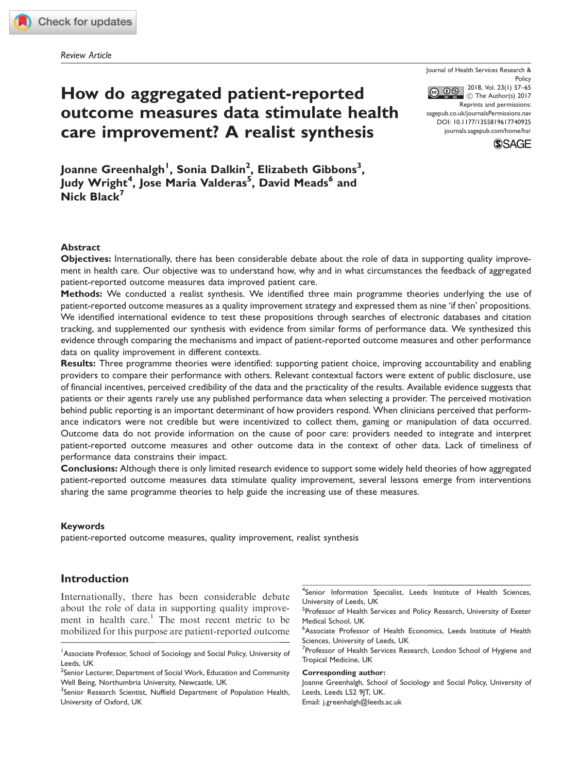Review Article

# How do aggregated patient-reported outcome measures data stimulate health care improvement? A realist synthesis

Journal of Health Services Research & Policy 2018, Vol. 23(1) 57–65

 $\circledcirc$  The Author(s) 2017 Reprints and permissions: [sagepub.co.uk/journalsPermissions.nav](https://uk.sagepub.com/en-gb/journals-permissions) DOI: [10.1177/1355819617740925](https://doi.org/10.1177/1355819617740925) <journals.sagepub.com/home/hsr>



Joanne Greenhalgh<sup>l</sup>, Sonia Dalkin<sup>2</sup>, Elizabeth Gibbons<sup>3</sup>, Judy Wright<sup>4</sup>, Jose Maria Valderas<sup>5</sup>, David Meads<sup>6</sup> and Nick Black<sup>7</sup>

### Abstract

Objectives: Internationally, there has been considerable debate about the role of data in supporting quality improvement in health care. Our objective was to understand how, why and in what circumstances the feedback of aggregated patient-reported outcome measures data improved patient care.

Methods: We conducted a realist synthesis. We identified three main programme theories underlying the use of patient-reported outcome measures as a quality improvement strategy and expressed them as nine 'if then' propositions. We identified international evidence to test these propositions through searches of electronic databases and citation tracking, and supplemented our synthesis with evidence from similar forms of performance data. We synthesized this evidence through comparing the mechanisms and impact of patient-reported outcome measures and other performance data on quality improvement in different contexts.

Results: Three programme theories were identified: supporting patient choice, improving accountability and enabling providers to compare their performance with others. Relevant contextual factors were extent of public disclosure, use of financial incentives, perceived credibility of the data and the practicality of the results. Available evidence suggests that patients or their agents rarely use any published performance data when selecting a provider. The perceived motivation behind public reporting is an important determinant of how providers respond. When clinicians perceived that performance indicators were not credible but were incentivized to collect them, gaming or manipulation of data occurred. Outcome data do not provide information on the cause of poor care: providers needed to integrate and interpret patient-reported outcome measures and other outcome data in the context of other data. Lack of timeliness of performance data constrains their impact.

Conclusions: Although there is only limited research evidence to support some widely held theories of how aggregated patient-reported outcome measures data stimulate quality improvement, several lessons emerge from interventions sharing the same programme theories to help guide the increasing use of these measures.

#### Keywords

patient-reported outcome measures, quality improvement, realist synthesis

### Introduction

Internationally, there has been considerable debate about the role of data in supporting quality improvement in health care.<sup>1</sup> The most recent metric to be mobilized for this purpose are patient-reported outcome

<sup>4</sup>Senior Information Specialist, Leeds Institute of Health Sciences, University of Leeds, UK

<sup>5</sup>Professor of Health Services and Policy Research, University of Exeter Medical School, UK

6 Associate Professor of Health Economics, Leeds Institute of Health Sciences, University of Leeds, UK

<sup>7</sup>Professor of Health Services Research, London School of Hygiene and Tropical Medicine, UK

#### Corresponding author:

Joanne Greenhalgh, School of Sociology and Social Policy, University of Leeds, Leeds LS2 9JT, UK.

Email: j.greenhalgh@leeds.ac.uk

<sup>&</sup>lt;sup>1</sup> Associate Professor, School of Sociology and Social Policy, University of Leeds, UK

 $^2$ Senior Lecturer, Department of Social Work, Education and Community Well Being, Northumbria University, Newcastle, UK

<sup>&</sup>lt;sup>3</sup>Senior Research Scientist, Nuffield Department of Population Health, University of Oxford, UK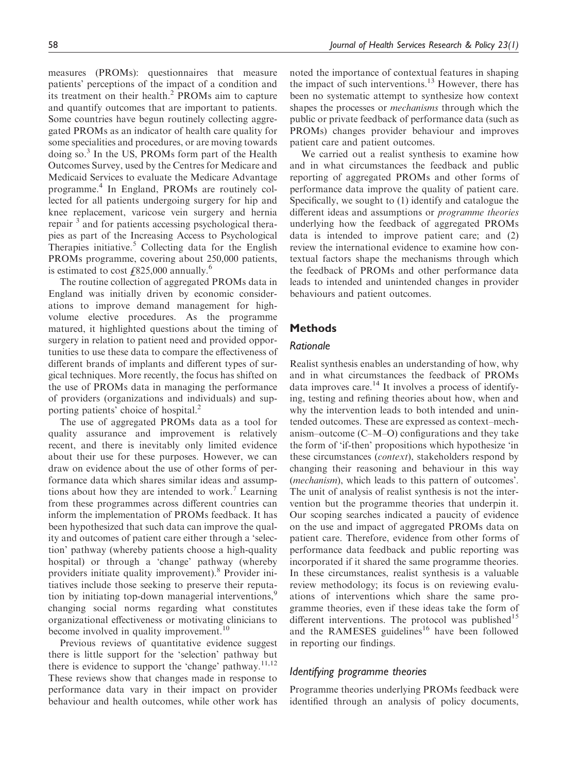gated PROMs as an indicator of health care quality for some specialities and procedures, or are moving towards doing so.<sup>3</sup> In the US, PROMs form part of the Health Outcomes Survey, used by the Centres for Medicare and Medicaid Services to evaluate the Medicare Advantage programme.<sup>4</sup> In England, PROMs are routinely collected for all patients undergoing surgery for hip and knee replacement, varicose vein surgery and hernia repair <sup>3</sup> and for patients accessing psychological therapies as part of the Increasing Access to Psychological Therapies initiative.<sup>5</sup> Collecting data for the English PROMs programme, covering about 250,000 patients, is estimated to cost  $£825,000$  annually.<sup>6</sup>

The routine collection of aggregated PROMs data in England was initially driven by economic considerations to improve demand management for highvolume elective procedures. As the programme matured, it highlighted questions about the timing of surgery in relation to patient need and provided opportunities to use these data to compare the effectiveness of different brands of implants and different types of surgical techniques. More recently, the focus has shifted on the use of PROMs data in managing the performance of providers (organizations and individuals) and supporting patients' choice of hospital.<sup>2</sup>

The use of aggregated PROMs data as a tool for quality assurance and improvement is relatively recent, and there is inevitably only limited evidence about their use for these purposes. However, we can draw on evidence about the use of other forms of performance data which shares similar ideas and assumptions about how they are intended to work.<sup>7</sup> Learning from these programmes across different countries can inform the implementation of PROMs feedback. It has been hypothesized that such data can improve the quality and outcomes of patient care either through a 'selection' pathway (whereby patients choose a high-quality hospital) or through a 'change' pathway (whereby providers initiate quality improvement).<sup>8</sup> Provider initiatives include those seeking to preserve their reputation by initiating top-down managerial interventions,<sup>5</sup> changing social norms regarding what constitutes organizational effectiveness or motivating clinicians to become involved in quality improvement.<sup>10</sup>

Previous reviews of quantitative evidence suggest there is little support for the 'selection' pathway but there is evidence to support the 'change' pathway.<sup>11,12</sup> These reviews show that changes made in response to performance data vary in their impact on provider behaviour and health outcomes, while other work has

noted the importance of contextual features in shaping the impact of such interventions.<sup>13</sup> However, there has been no systematic attempt to synthesize how context shapes the processes or mechanisms through which the public or private feedback of performance data (such as PROMs) changes provider behaviour and improves patient care and patient outcomes.

We carried out a realist synthesis to examine how and in what circumstances the feedback and public reporting of aggregated PROMs and other forms of performance data improve the quality of patient care. Specifically, we sought to (1) identify and catalogue the different ideas and assumptions or programme theories underlying how the feedback of aggregated PROMs data is intended to improve patient care; and (2) review the international evidence to examine how contextual factors shape the mechanisms through which the feedback of PROMs and other performance data leads to intended and unintended changes in provider behaviours and patient outcomes.

# Methods

### Rationale

Realist synthesis enables an understanding of how, why and in what circumstances the feedback of PROMs data improves care. $^{14}$  It involves a process of identifying, testing and refining theories about how, when and why the intervention leads to both intended and unintended outcomes. These are expressed as context–mechanism–outcome (C–M–O) configurations and they take the form of 'if-then' propositions which hypothesize 'in these circumstances (context), stakeholders respond by changing their reasoning and behaviour in this way (mechanism), which leads to this pattern of outcomes'. The unit of analysis of realist synthesis is not the intervention but the programme theories that underpin it. Our scoping searches indicated a paucity of evidence on the use and impact of aggregated PROMs data on patient care. Therefore, evidence from other forms of performance data feedback and public reporting was incorporated if it shared the same programme theories. In these circumstances, realist synthesis is a valuable review methodology; its focus is on reviewing evaluations of interventions which share the same programme theories, even if these ideas take the form of different interventions. The protocol was published<sup>15</sup> and the RAMESES guidelines<sup>16</sup> have been followed in reporting our findings.

# Identifying programme theories

Programme theories underlying PROMs feedback were identified through an analysis of policy documents,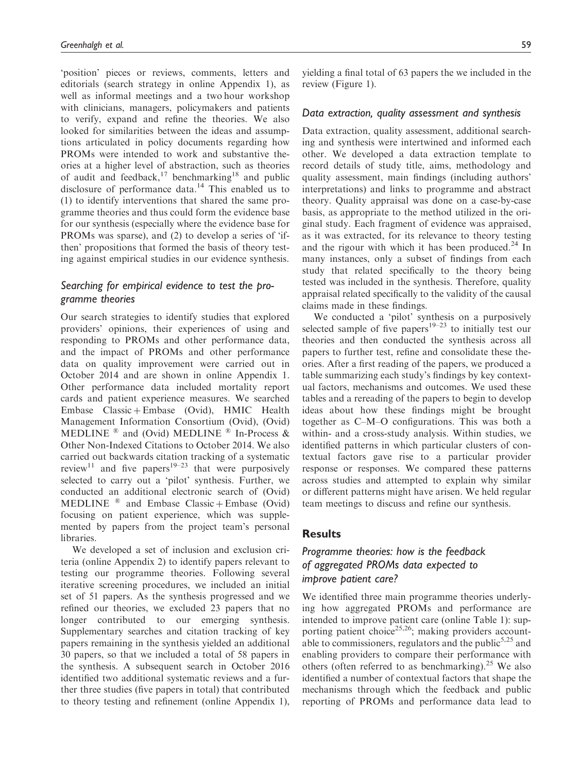'position' pieces or reviews, comments, letters and editorials (search strategy in online Appendix 1), as well as informal meetings and a two hour workshop with clinicians, managers, policymakers and patients to verify, expand and refine the theories. We also looked for similarities between the ideas and assumptions articulated in policy documents regarding how PROMs were intended to work and substantive theories at a higher level of abstraction, such as theories of audit and feedback, $17$  benchmarking<sup>18</sup> and public disclosure of performance data.<sup>14</sup> This enabled us to (1) to identify interventions that shared the same programme theories and thus could form the evidence base for our synthesis (especially where the evidence base for PROMs was sparse), and (2) to develop a series of 'ifthen' propositions that formed the basis of theory testing against empirical studies in our evidence synthesis.

# Searching for empirical evidence to test the programme theories

Our search strategies to identify studies that explored providers' opinions, their experiences of using and responding to PROMs and other performance data, and the impact of PROMs and other performance data on quality improvement were carried out in October 2014 and are shown in online Appendix 1. Other performance data included mortality report cards and patient experience measures. We searched Embase Classic + Embase (Ovid), HMIC Health Management Information Consortium (Ovid), (Ovid) MEDLINE  $^{\circledR}$  and (Ovid) MEDLINE  $^{\circledR}$  In-Process & Other Non-Indexed Citations to October 2014. We also carried out backwards citation tracking of a systematic review<sup>11</sup> and five papers<sup>19–23</sup> that were purposively selected to carry out a 'pilot' synthesis. Further, we conducted an additional electronic search of (Ovid) MEDLINE  $^{\circledR}$  and Embase Classic + Embase (Ovid) focusing on patient experience, which was supplemented by papers from the project team's personal libraries.

We developed a set of inclusion and exclusion criteria (online Appendix 2) to identify papers relevant to testing our programme theories. Following several iterative screening procedures, we included an initial set of 51 papers. As the synthesis progressed and we refined our theories, we excluded 23 papers that no longer contributed to our emerging synthesis. Supplementary searches and citation tracking of key papers remaining in the synthesis yielded an additional 30 papers, so that we included a total of 58 papers in the synthesis. A subsequent search in October 2016 identified two additional systematic reviews and a further three studies (five papers in total) that contributed to theory testing and refinement (online Appendix 1), yielding a final total of 63 papers the we included in the review (Figure 1).

# Data extraction, quality assessment and synthesis

Data extraction, quality assessment, additional searching and synthesis were intertwined and informed each other. We developed a data extraction template to record details of study title, aims, methodology and quality assessment, main findings (including authors' interpretations) and links to programme and abstract theory. Quality appraisal was done on a case-by-case basis, as appropriate to the method utilized in the original study. Each fragment of evidence was appraised, as it was extracted, for its relevance to theory testing and the rigour with which it has been produced. $24$  In many instances, only a subset of findings from each study that related specifically to the theory being tested was included in the synthesis. Therefore, quality appraisal related specifically to the validity of the causal claims made in these findings.

We conducted a 'pilot' synthesis on a purposively selected sample of five papers<sup>19–23</sup> to initially test our theories and then conducted the synthesis across all papers to further test, refine and consolidate these theories. After a first reading of the papers, we produced a table summarizing each study's findings by key contextual factors, mechanisms and outcomes. We used these tables and a rereading of the papers to begin to develop ideas about how these findings might be brought together as C–M–O configurations. This was both a within- and a cross-study analysis. Within studies, we identified patterns in which particular clusters of contextual factors gave rise to a particular provider response or responses. We compared these patterns across studies and attempted to explain why similar or different patterns might have arisen. We held regular team meetings to discuss and refine our synthesis.

### **Results**

# Programme theories: how is the feedback of aggregated PROMs data expected to improve patient care?

We identified three main programme theories underlying how aggregated PROMs and performance are intended to improve patient care (online Table 1): supporting patient choice<sup>25,26</sup>; making providers accountable to commissioners, regulators and the public<sup>5,25</sup> and enabling providers to compare their performance with others (often referred to as benchmarking).<sup>25</sup> We also identified a number of contextual factors that shape the mechanisms through which the feedback and public reporting of PROMs and performance data lead to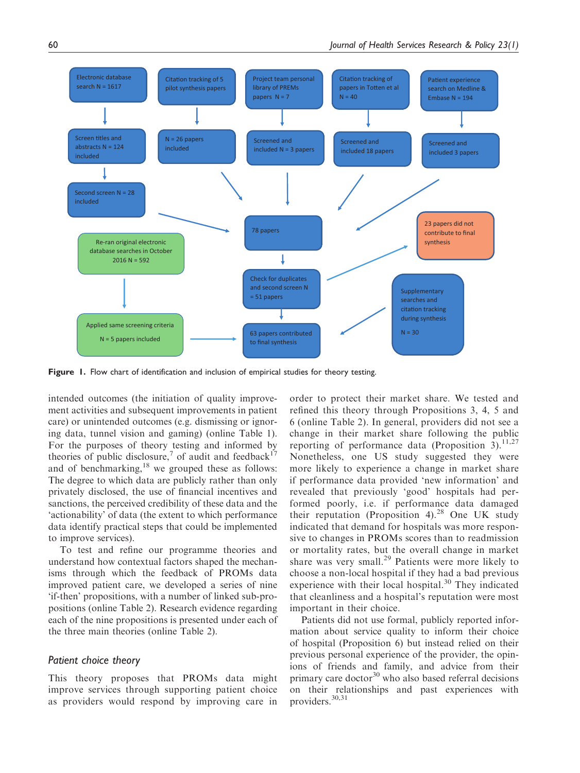

Figure 1. Flow chart of identification and inclusion of empirical studies for theory testing.

intended outcomes (the initiation of quality improvement activities and subsequent improvements in patient care) or unintended outcomes (e.g. dismissing or ignoring data, tunnel vision and gaming) (online Table 1). For the purposes of theory testing and informed by theories of public disclosure,<sup>7</sup> of audit and feedback<sup>17</sup> and of benchmarking, $18$  we grouped these as follows: The degree to which data are publicly rather than only privately disclosed, the use of financial incentives and sanctions, the perceived credibility of these data and the 'actionability' of data (the extent to which performance data identify practical steps that could be implemented to improve services).

To test and refine our programme theories and understand how contextual factors shaped the mechanisms through which the feedback of PROMs data improved patient care, we developed a series of nine 'if-then' propositions, with a number of linked sub-propositions (online Table 2). Research evidence regarding each of the nine propositions is presented under each of the three main theories (online Table 2).

### Patient choice theory

This theory proposes that PROMs data might improve services through supporting patient choice as providers would respond by improving care in

order to protect their market share. We tested and refined this theory through Propositions 3, 4, 5 and 6 (online Table 2). In general, providers did not see a change in their market share following the public reporting of performance data (Proposition 3).<sup>11,27</sup> Nonetheless, one US study suggested they were more likely to experience a change in market share if performance data provided 'new information' and revealed that previously 'good' hospitals had performed poorly, i.e. if performance data damaged their reputation (Proposition 4).<sup>28</sup> One UK study indicated that demand for hospitals was more responsive to changes in PROMs scores than to readmission or mortality rates, but the overall change in market share was very small.<sup>29</sup> Patients were more likely to choose a non-local hospital if they had a bad previous experience with their local hospital. $30$  They indicated that cleanliness and a hospital's reputation were most important in their choice.

Patients did not use formal, publicly reported information about service quality to inform their choice of hospital (Proposition 6) but instead relied on their previous personal experience of the provider, the opinions of friends and family, and advice from their primary care doctor $30$  who also based referral decisions on their relationships and past experiences with providers.30,31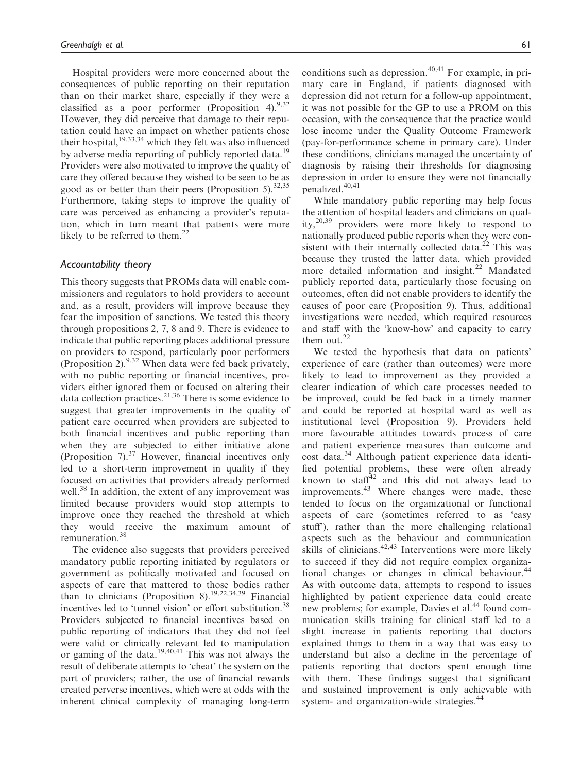Hospital providers were more concerned about the consequences of public reporting on their reputation than on their market share, especially if they were a classified as a poor performer (Proposition 4).  $9,32$ However, they did perceive that damage to their reputation could have an impact on whether patients chose their hospital, $19,33,34$  which they felt was also influenced by adverse media reporting of publicly reported data.<sup>19</sup> Providers were also motivated to improve the quality of care they offered because they wished to be seen to be as good as or better than their peers (Proposition 5).<sup>32,35</sup> Furthermore, taking steps to improve the quality of care was perceived as enhancing a provider's reputation, which in turn meant that patients were more likely to be referred to them.<sup>22</sup>

### Accountability theory

This theory suggests that PROMs data will enable commissioners and regulators to hold providers to account and, as a result, providers will improve because they fear the imposition of sanctions. We tested this theory through propositions 2, 7, 8 and 9. There is evidence to indicate that public reporting places additional pressure on providers to respond, particularly poor performers (Proposition 2). $9,32$  When data were fed back privately, with no public reporting or financial incentives, providers either ignored them or focused on altering their data collection practices. $2^{1,36}$  There is some evidence to suggest that greater improvements in the quality of patient care occurred when providers are subjected to both financial incentives and public reporting than when they are subjected to either initiative alone (Proposition  $7$ ).<sup>37</sup> However, financial incentives only led to a short-term improvement in quality if they focused on activities that providers already performed well.<sup>38</sup> In addition, the extent of any improvement was limited because providers would stop attempts to improve once they reached the threshold at which they would receive the maximum amount of remuneration.<sup>38</sup>

The evidence also suggests that providers perceived mandatory public reporting initiated by regulators or government as politically motivated and focused on aspects of care that mattered to those bodies rather than to clinicians (Proposition 8).<sup>19,22,34,39</sup> Financial incentives led to 'tunnel vision' or effort substitution.<sup>38</sup> Providers subjected to financial incentives based on public reporting of indicators that they did not feel were valid or clinically relevant led to manipulation or gaming of the data.<sup>19,40,41</sup> This was not always the result of deliberate attempts to 'cheat' the system on the part of providers; rather, the use of financial rewards created perverse incentives, which were at odds with the inherent clinical complexity of managing long-term conditions such as depression.<sup>40,41</sup> For example, in primary care in England, if patients diagnosed with depression did not return for a follow-up appointment, it was not possible for the GP to use a PROM on this occasion, with the consequence that the practice would lose income under the Quality Outcome Framework (pay-for-performance scheme in primary care). Under these conditions, clinicians managed the uncertainty of diagnosis by raising their thresholds for diagnosing depression in order to ensure they were not financially penalized.40,41

While mandatory public reporting may help focus the attention of hospital leaders and clinicians on quality,20,39 providers were more likely to respond to nationally produced public reports when they were consistent with their internally collected data.<sup>22</sup> This was because they trusted the latter data, which provided more detailed information and insight.<sup>22</sup> Mandated publicly reported data, particularly those focusing on outcomes, often did not enable providers to identify the causes of poor care (Proposition 9). Thus, additional investigations were needed, which required resources and staff with the 'know-how' and capacity to carry them out.<sup>22</sup>

We tested the hypothesis that data on patients' experience of care (rather than outcomes) were more likely to lead to improvement as they provided a clearer indication of which care processes needed to be improved, could be fed back in a timely manner and could be reported at hospital ward as well as institutional level (Proposition 9). Providers held more favourable attitudes towards process of care and patient experience measures than outcome and cost data.<sup>34</sup> Although patient experience data identified potential problems, these were often already known to staff<sup> $42$ </sup> and this did not always lead to improvements.<sup>43</sup> Where changes were made, these tended to focus on the organizational or functional aspects of care (sometimes referred to as 'easy stuff'), rather than the more challenging relational aspects such as the behaviour and communication skills of clinicians.<sup>42,43</sup> Interventions were more likely to succeed if they did not require complex organizational changes or changes in clinical behaviour.<sup>44</sup> As with outcome data, attempts to respond to issues highlighted by patient experience data could create new problems; for example, Davies et al.<sup>44</sup> found communication skills training for clinical staff led to a slight increase in patients reporting that doctors explained things to them in a way that was easy to understand but also a decline in the percentage of patients reporting that doctors spent enough time with them. These findings suggest that significant and sustained improvement is only achievable with system- and organization-wide strategies.<sup>44</sup>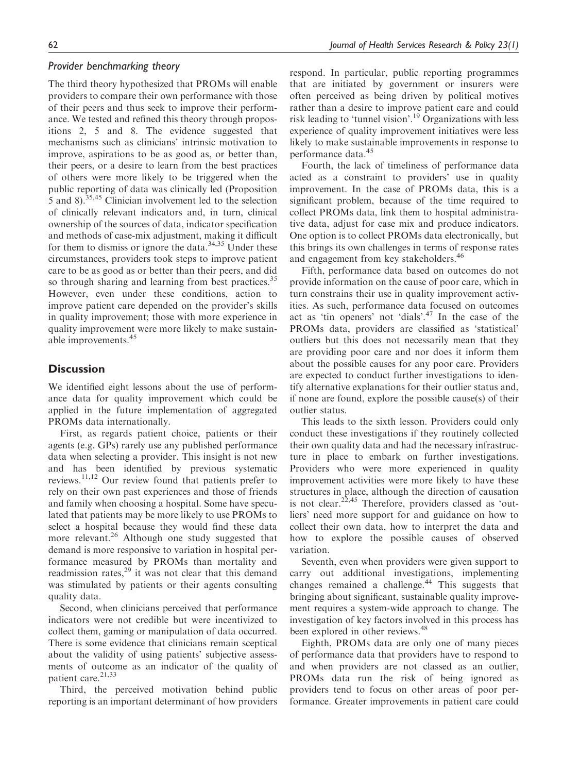### Provider benchmarking theory

The third theory hypothesized that PROMs will enable providers to compare their own performance with those of their peers and thus seek to improve their performance. We tested and refined this theory through propositions 2, 5 and 8. The evidence suggested that mechanisms such as clinicians' intrinsic motivation to improve, aspirations to be as good as, or better than, their peers, or a desire to learn from the best practices of others were more likely to be triggered when the public reporting of data was clinically led (Proposition 5 and 8).35,45 Clinician involvement led to the selection of clinically relevant indicators and, in turn, clinical ownership of the sources of data, indicator specification and methods of case-mix adjustment, making it difficult for them to dismiss or ignore the data.<sup>34,35</sup> Under these circumstances, providers took steps to improve patient care to be as good as or better than their peers, and did so through sharing and learning from best practices.<sup>35</sup> However, even under these conditions, action to improve patient care depended on the provider's skills in quality improvement; those with more experience in quality improvement were more likely to make sustainable improvements.<sup>45</sup>

## **Discussion**

We identified eight lessons about the use of performance data for quality improvement which could be applied in the future implementation of aggregated PROMs data internationally.

First, as regards patient choice, patients or their agents (e.g. GPs) rarely use any published performance data when selecting a provider. This insight is not new and has been identified by previous systematic reviews.11,12 Our review found that patients prefer to rely on their own past experiences and those of friends and family when choosing a hospital. Some have speculated that patients may be more likely to use PROMs to select a hospital because they would find these data more relevant.<sup>26</sup> Although one study suggested that demand is more responsive to variation in hospital performance measured by PROMs than mortality and readmission rates, $2^9$  it was not clear that this demand was stimulated by patients or their agents consulting quality data.

Second, when clinicians perceived that performance indicators were not credible but were incentivized to collect them, gaming or manipulation of data occurred. There is some evidence that clinicians remain sceptical about the validity of using patients' subjective assessments of outcome as an indicator of the quality of patient care.<sup>21,33</sup>

Third, the perceived motivation behind public reporting is an important determinant of how providers respond. In particular, public reporting programmes that are initiated by government or insurers were often perceived as being driven by political motives rather than a desire to improve patient care and could risk leading to 'tunnel vision'.<sup>19</sup> Organizations with less experience of quality improvement initiatives were less likely to make sustainable improvements in response to performance data.<sup>45</sup>

Fourth, the lack of timeliness of performance data acted as a constraint to providers' use in quality improvement. In the case of PROMs data, this is a significant problem, because of the time required to collect PROMs data, link them to hospital administrative data, adjust for case mix and produce indicators. One option is to collect PROMs data electronically, but this brings its own challenges in terms of response rates and engagement from key stakeholders.<sup>46</sup>

Fifth, performance data based on outcomes do not provide information on the cause of poor care, which in turn constrains their use in quality improvement activities. As such, performance data focused on outcomes act as 'tin openers' not 'dials'.<sup>47</sup> In the case of the PROMs data, providers are classified as 'statistical' outliers but this does not necessarily mean that they are providing poor care and nor does it inform them about the possible causes for any poor care. Providers are expected to conduct further investigations to identify alternative explanations for their outlier status and, if none are found, explore the possible cause(s) of their outlier status.

This leads to the sixth lesson. Providers could only conduct these investigations if they routinely collected their own quality data and had the necessary infrastructure in place to embark on further investigations. Providers who were more experienced in quality improvement activities were more likely to have these structures in place, although the direction of causation is not clear.<sup>22,45</sup> Therefore, providers classed as 'outliers' need more support for and guidance on how to collect their own data, how to interpret the data and how to explore the possible causes of observed variation.

Seventh, even when providers were given support to carry out additional investigations, implementing changes remained a challenge.<sup>44</sup> This suggests that bringing about significant, sustainable quality improvement requires a system-wide approach to change. The investigation of key factors involved in this process has been explored in other reviews.<sup>48</sup>

Eighth, PROMs data are only one of many pieces of performance data that providers have to respond to and when providers are not classed as an outlier, PROMs data run the risk of being ignored as providers tend to focus on other areas of poor performance. Greater improvements in patient care could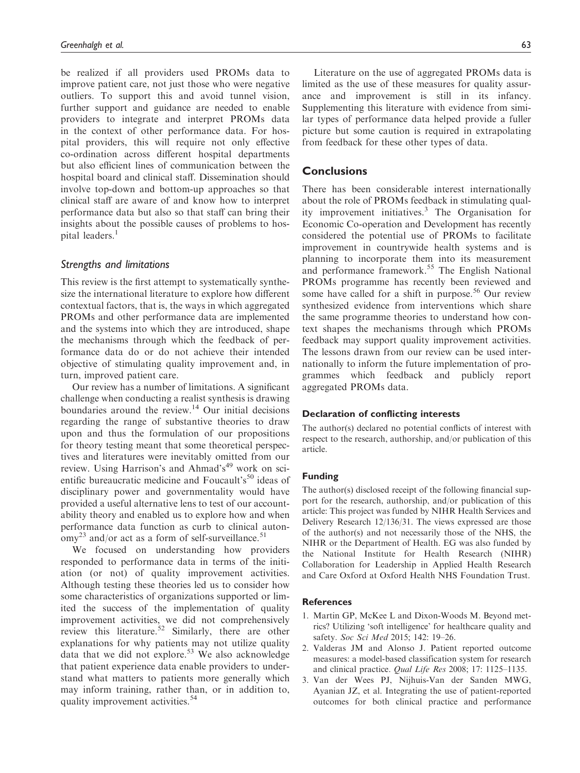be realized if all providers used PROMs data to improve patient care, not just those who were negative outliers. To support this and avoid tunnel vision, further support and guidance are needed to enable providers to integrate and interpret PROMs data in the context of other performance data. For hospital providers, this will require not only effective co-ordination across different hospital departments but also efficient lines of communication between the hospital board and clinical staff. Dissemination should involve top-down and bottom-up approaches so that clinical staff are aware of and know how to interpret performance data but also so that staff can bring their insights about the possible causes of problems to hospital leaders.<sup>1</sup>

### Strengths and limitations

This review is the first attempt to systematically synthesize the international literature to explore how different contextual factors, that is, the ways in which aggregated PROMs and other performance data are implemented and the systems into which they are introduced, shape the mechanisms through which the feedback of performance data do or do not achieve their intended objective of stimulating quality improvement and, in turn, improved patient care.

Our review has a number of limitations. A significant challenge when conducting a realist synthesis is drawing boundaries around the review. $14$  Our initial decisions regarding the range of substantive theories to draw upon and thus the formulation of our propositions for theory testing meant that some theoretical perspectives and literatures were inevitably omitted from our review. Using Harrison's and Ahmad's<sup>49</sup> work on scientific bureaucratic medicine and Foucault's<sup>50</sup> ideas of disciplinary power and governmentality would have provided a useful alternative lens to test of our accountability theory and enabled us to explore how and when performance data function as curb to clinical auton- $\text{omy}^{23}$  and/or act as a form of self-surveillance.<sup>51</sup>

We focused on understanding how providers responded to performance data in terms of the initiation (or not) of quality improvement activities. Although testing these theories led us to consider how some characteristics of organizations supported or limited the success of the implementation of quality improvement activities, we did not comprehensively review this literature.<sup>52</sup> Similarly, there are other explanations for why patients may not utilize quality data that we did not explore.<sup>53</sup> We also acknowledge that patient experience data enable providers to understand what matters to patients more generally which may inform training, rather than, or in addition to, quality improvement activities.<sup>54</sup>

Literature on the use of aggregated PROMs data is limited as the use of these measures for quality assurance and improvement is still in its infancy. Supplementing this literature with evidence from similar types of performance data helped provide a fuller picture but some caution is required in extrapolating from feedback for these other types of data.

### **Conclusions**

There has been considerable interest internationally about the role of PROMs feedback in stimulating quality improvement initiatives.<sup>3</sup> The Organisation for Economic Co-operation and Development has recently considered the potential use of PROMs to facilitate improvement in countrywide health systems and is planning to incorporate them into its measurement and performance framework.<sup>55</sup> The English National PROMs programme has recently been reviewed and some have called for a shift in purpose.<sup>56</sup> Our review synthesized evidence from interventions which share the same programme theories to understand how context shapes the mechanisms through which PROMs feedback may support quality improvement activities. The lessons drawn from our review can be used internationally to inform the future implementation of programmes which feedback and publicly report aggregated PROMs data.

#### Declaration of conflicting interests

The author(s) declared no potential conflicts of interest with respect to the research, authorship, and/or publication of this article.

#### Funding

The author(s) disclosed receipt of the following financial support for the research, authorship, and/or publication of this article: This project was funded by NIHR Health Services and Delivery Research 12/136/31. The views expressed are those of the author(s) and not necessarily those of the NHS, the NIHR or the Department of Health. EG was also funded by the National Institute for Health Research (NIHR) Collaboration for Leadership in Applied Health Research and Care Oxford at Oxford Health NHS Foundation Trust.

#### References

- 1. Martin GP, McKee L and Dixon-Woods M. Beyond metrics? Utilizing 'soft intelligence' for healthcare quality and safety. Soc Sci Med 2015; 142: 19–26.
- 2. Valderas JM and Alonso J. Patient reported outcome measures: a model-based classification system for research and clinical practice. Qual Life Res 2008; 17: 1125–1135.
- 3. Van der Wees PJ, Nijhuis-Van der Sanden MWG, Ayanian JZ, et al. Integrating the use of patient-reported outcomes for both clinical practice and performance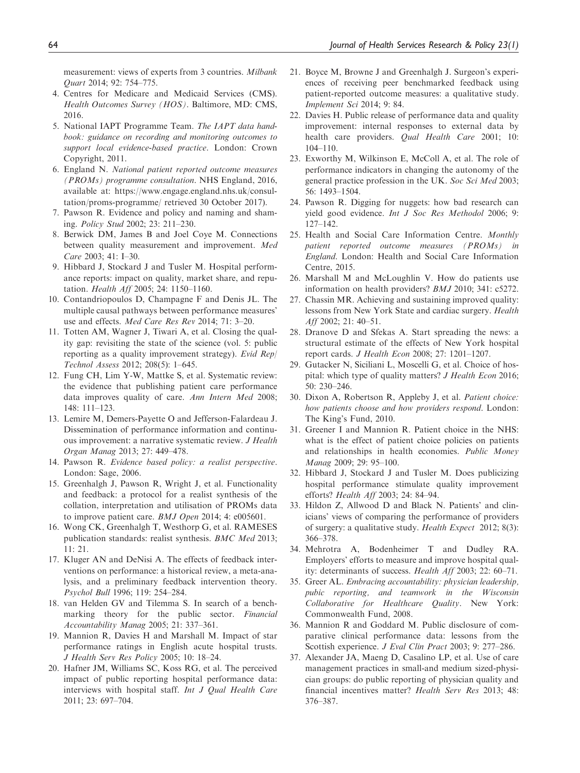measurement: views of experts from 3 countries. Milbank Quart 2014; 92: 754–775.

- 4. Centres for Medicare and Medicaid Services (CMS). Health Outcomes Survey (HOS). Baltimore, MD: CMS, 2016.
- 5. National IAPT Programme Team. The IAPT data handbook: guidance on recording and monitoring outcomes to support local evidence-based practice. London: Crown Copyright, 2011.
- 6. England N. National patient reported outcome measures (PROMs) programme consultation. NHS England, 2016, available at: https://www.engage.england.nhs.uk/consultation/proms-programme/ retrieved 30 October 2017).
- 7. Pawson R. Evidence and policy and naming and shaming. Policy Stud 2002; 23: 211–230.
- 8. Berwick DM, James B and Joel Coye M. Connections between quality measurement and improvement. Med Care 2003; 41: I–30.
- 9. Hibbard J, Stockard J and Tusler M. Hospital performance reports: impact on quality, market share, and reputation. Health Aff 2005; 24: 1150–1160.
- 10. Contandriopoulos D, Champagne F and Denis JL. The multiple causal pathways between performance measures' use and effects. Med Care Res Rev 2014; 71: 3–20.
- 11. Totten AM, Wagner J, Tiwari A, et al. Closing the quality gap: revisiting the state of the science (vol. 5: public reporting as a quality improvement strategy). Evid Rep/ Technol Assess 2012; 208(5): 1–645.
- 12. Fung CH, Lim Y-W, Mattke S, et al. Systematic review: the evidence that publishing patient care performance data improves quality of care. Ann Intern Med 2008; 148: 111–123.
- 13. Lemire M, Demers-Payette O and Jefferson-Falardeau J. Dissemination of performance information and continuous improvement: a narrative systematic review. J Health Organ Manag 2013; 27: 449–478.
- 14. Pawson R. Evidence based policy: a realist perspective. London: Sage, 2006.
- 15. Greenhalgh J, Pawson R, Wright J, et al. Functionality and feedback: a protocol for a realist synthesis of the collation, interpretation and utilisation of PROMs data to improve patient care. BMJ Open 2014; 4: e005601.
- 16. Wong CK, Greenhalgh T, Westhorp G, et al. RAMESES publication standards: realist synthesis. BMC Med 2013; 11: 21.
- 17. Kluger AN and DeNisi A. The effects of feedback interventions on performance: a historical review, a meta-analysis, and a preliminary feedback intervention theory. Psychol Bull 1996; 119: 254–284.
- 18. van Helden GV and Tilemma S. In search of a benchmarking theory for the public sector. Financial Accountability Manag 2005; 21: 337–361.
- 19. Mannion R, Davies H and Marshall M. Impact of star performance ratings in English acute hospital trusts. J Health Serv Res Policy 2005; 10: 18–24.
- 20. Hafner JM, Williams SC, Koss RG, et al. The perceived impact of public reporting hospital performance data: interviews with hospital staff. Int J Qual Health Care 2011; 23: 697–704.
- 21. Boyce M, Browne J and Greenhalgh J. Surgeon's experiences of receiving peer benchmarked feedback using patient-reported outcome measures: a qualitative study. Implement Sci 2014; 9: 84.
- 22. Davies H. Public release of performance data and quality improvement: internal responses to external data by health care providers. Qual Health Care 2001; 10: 104–110.
- 23. Exworthy M, Wilkinson E, McColl A, et al. The role of performance indicators in changing the autonomy of the general practice profession in the UK. Soc Sci Med 2003; 56: 1493–1504.
- 24. Pawson R. Digging for nuggets: how bad research can yield good evidence. Int J Soc Res Methodol 2006; 9: 127–142.
- 25. Health and Social Care Information Centre. Monthly patient reported outcome measures (PROMs) in England. London: Health and Social Care Information Centre, 2015.
- 26. Marshall M and McLoughlin V. How do patients use information on health providers? BMJ 2010; 341: c5272.
- 27. Chassin MR. Achieving and sustaining improved quality: lessons from New York State and cardiac surgery. Health Aff 2002; 21: 40–51.
- 28. Dranove D and Sfekas A. Start spreading the news: a structural estimate of the effects of New York hospital report cards. J Health Econ 2008; 27: 1201–1207.
- 29. Gutacker N, Siciliani L, Moscelli G, et al. Choice of hospital: which type of quality matters? J Health Econ 2016; 50: 230–246.
- 30. Dixon A, Robertson R, Appleby J, et al. Patient choice: how patients choose and how providers respond. London: The King's Fund, 2010.
- 31. Greener I and Mannion R. Patient choice in the NHS: what is the effect of patient choice policies on patients and relationships in health economies. Public Money Manag 2009; 29: 95–100.
- 32. Hibbard J, Stockard J and Tusler M. Does publicizing hospital performance stimulate quality improvement efforts? Health Aff 2003; 24: 84–94.
- 33. Hildon Z, Allwood D and Black N. Patients' and clinicians' views of comparing the performance of providers of surgery: a qualitative study. Health Expect 2012; 8(3): 366–378.
- 34. Mehrotra A, Bodenheimer T and Dudley RA. Employers' efforts to measure and improve hospital quality: determinants of success. Health Aff 2003; 22: 60–71.
- 35. Greer AL. Embracing accountability: physician leadership, pubic reporting, and teamwork in the Wisconsin Collaborative for Healthcare Quality. New York: Commonwealth Fund, 2008.
- 36. Mannion R and Goddard M. Public disclosure of comparative clinical performance data: lessons from the Scottish experience. *J Eval Clin Pract* 2003; 9: 277–286.
- 37. Alexander JA, Maeng D, Casalino LP, et al. Use of care management practices in small-and medium sized-physician groups: do public reporting of physician quality and financial incentives matter? Health Serv Res 2013; 48: 376–387.